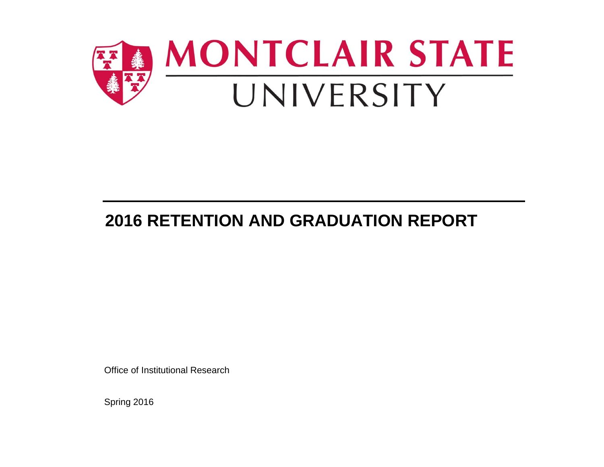

# **2016 RETENTION AND GRADUATION REPORT**

Office of Institutional Research

Spring 2016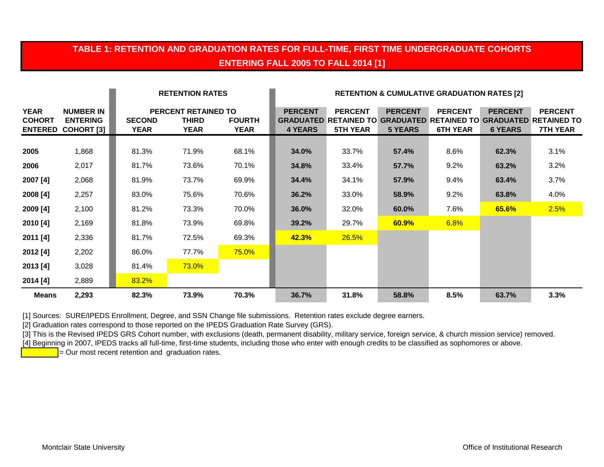### **TABLE 1: RETENTION AND GRADUATION RATES FOR FULL-TIME, FIRST TIME UNDERGRADUATE COHORTS ENTERING FALL 2005 TO FALL 2014 [1]**

|                              |                                                                  |                              | <b>RETENTION RATES</b>                                    |                              | <b>RETENTION &amp; CUMULATIVE GRADUATION RATES [2]</b> |                                                                                         |                                  |                                   |                                  |                                                                   |
|------------------------------|------------------------------------------------------------------|------------------------------|-----------------------------------------------------------|------------------------------|--------------------------------------------------------|-----------------------------------------------------------------------------------------|----------------------------------|-----------------------------------|----------------------------------|-------------------------------------------------------------------|
| <b>YEAR</b><br><b>COHORT</b> | <b>NUMBER IN</b><br><b>ENTERING</b><br><b>ENTERED COHORT [3]</b> | <b>SECOND</b><br><b>YEAR</b> | <b>PERCENT RETAINED TO</b><br><b>THIRD</b><br><b>YEAR</b> | <b>FOURTH</b><br><b>YEAR</b> | <b>PERCENT</b><br>4 YEARS                              | <b>PERCENT</b><br><b>GRADUATED RETAINED TO GRADUATED RETAINED TO</b><br><b>5TH YEAR</b> | <b>PERCENT</b><br><b>5 YEARS</b> | <b>PERCENT</b><br><b>6TH YEAR</b> | <b>PERCENT</b><br><b>6 YEARS</b> | <b>PERCENT</b><br><b>GRADUATED RETAINED TO</b><br><b>7TH YEAR</b> |
| 2005                         | 1,868                                                            | 81.3%                        | 71.9%                                                     | 68.1%                        | 34.0%                                                  | 33.7%                                                                                   | 57.4%                            | 8.6%                              | 62.3%                            | 3.1%                                                              |
| 2006                         | 2,017                                                            | 81.7%                        | 73.6%                                                     | 70.1%                        | 34.8%                                                  | 33.4%                                                                                   | 57.7%                            | 9.2%                              | 63.2%                            | 3.2%                                                              |
| 2007 [4]                     | 2,068                                                            | 81.9%                        | 73.7%                                                     | 69.9%                        | 34.4%                                                  | 34.1%                                                                                   | 57.9%                            | 9.4%                              | 63.4%                            | 3.7%                                                              |
| 2008 [4]                     | 2,257                                                            | 83.0%                        | 75.6%                                                     | 70.6%                        | 36.2%                                                  | 33.0%                                                                                   | 58.9%                            | 9.2%                              | 63.8%                            | 4.0%                                                              |
| 2009 [4]                     | 2,100                                                            | 81.2%                        | 73.3%                                                     | 70.0%                        | 36.0%                                                  | 32.0%                                                                                   | 60.0%                            | 7.6%                              | 65.6%                            | 2.5%                                                              |
| 2010 [4]                     | 2,169                                                            | 81.8%                        | 73.9%                                                     | 69.8%                        | 39.2%                                                  | 29.7%                                                                                   | 60.9%                            | 6.8%                              |                                  |                                                                   |
| 2011 [4]                     | 2,336                                                            | 81.7%                        | 72.5%                                                     | 69.3%                        | 42.3%                                                  | 26.5%                                                                                   |                                  |                                   |                                  |                                                                   |
| 2012 [4]                     | 2,202                                                            | 86.0%                        | 77.7%                                                     | 75.0%                        |                                                        |                                                                                         |                                  |                                   |                                  |                                                                   |
| 2013 [4]                     | 3,028                                                            | 81.4%                        | <b>73.0%</b>                                              |                              |                                                        |                                                                                         |                                  |                                   |                                  |                                                                   |
| 2014 [4]                     | 2,889                                                            | 83.2%                        |                                                           |                              |                                                        |                                                                                         |                                  |                                   |                                  |                                                                   |
| <b>Means</b>                 | 2,293                                                            | 82.3%                        | 73.9%                                                     | 70.3%                        | 36.7%                                                  | 31.8%                                                                                   | 58.8%                            | 8.5%                              | 63.7%                            | 3.3%                                                              |

[1] Sources: SURE/IPEDS Enrollment, Degree, and SSN Change file submissions. Retention rates exclude degree earners.

[2] Graduation rates correspond to those reported on the IPEDS Graduation Rate Survey (GRS).

[3] This is the Revised IPEDS GRS Cohort number, with exclusions (death, permanent disability, military service, foreign service, & church mission service) removed.

[4] Beginning in 2007, IPEDS tracks all full-time, first-time students, including those who enter with enough credits to be classified as sophomores or above.

 $\overline{P}$  = Our most recent retention and graduation rates.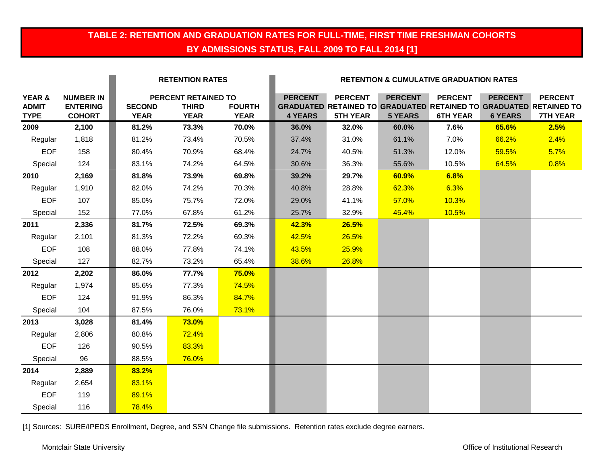### **TABLE 2: RETENTION AND GRADUATION RATES FOR FULL-TIME, FIRST TIME FRESHMAN COHORTS BY ADMISSIONS STATUS, FALL 2009 TO FALL 2014 [1]**

|                                       |                                                      |                              | <b>RETENTION RATES</b>                             |                              |                                  | <b>RETENTION &amp; CUMULATIVE GRADUATION RATES</b> |                                  |                                   |                                  |                                                                                                               |
|---------------------------------------|------------------------------------------------------|------------------------------|----------------------------------------------------|------------------------------|----------------------------------|----------------------------------------------------|----------------------------------|-----------------------------------|----------------------------------|---------------------------------------------------------------------------------------------------------------|
| YEAR &<br><b>ADMIT</b><br><b>TYPE</b> | <b>NUMBER IN</b><br><b>ENTERING</b><br><b>COHORT</b> | <b>SECOND</b><br><b>YEAR</b> | PERCENT RETAINED TO<br><b>THIRD</b><br><b>YEAR</b> | <b>FOURTH</b><br><b>YEAR</b> | <b>PERCENT</b><br><b>4 YEARS</b> | <b>PERCENT</b><br><b>5TH YEAR</b>                  | <b>PERCENT</b><br><b>5 YEARS</b> | <b>PERCENT</b><br><b>6TH YEAR</b> | <b>PERCENT</b><br><b>6 YEARS</b> | <b>PERCENT</b><br><b>GRADUATED RETAINED TO GRADUATED RETAINED TO GRADUATED RETAINED TO</b><br><b>7TH YEAR</b> |
| 2009                                  | 2,100                                                | 81.2%                        | 73.3%                                              | 70.0%                        | 36.0%                            | 32.0%                                              | 60.0%                            | 7.6%                              | 65.6%                            | 2.5%                                                                                                          |
| Regular                               | 1,818                                                | 81.2%                        | 73.4%                                              | 70.5%                        | 37.4%                            | 31.0%                                              | 61.1%                            | 7.0%                              | 66.2%                            | 2.4%                                                                                                          |
| <b>EOF</b>                            | 158                                                  | 80.4%                        | 70.9%                                              | 68.4%                        | 24.7%                            | 40.5%                                              | 51.3%                            | 12.0%                             | 59.5%                            | 5.7%                                                                                                          |
| Special                               | 124                                                  | 83.1%                        | 74.2%                                              | 64.5%                        | 30.6%                            | 36.3%                                              | 55.6%                            | 10.5%                             | 64.5%                            | 0.8%                                                                                                          |
| 2010                                  | 2,169                                                | 81.8%                        | 73.9%                                              | 69.8%                        | 39.2%                            | 29.7%                                              | 60.9%                            | 6.8%                              |                                  |                                                                                                               |
| Regular                               | 1,910                                                | 82.0%                        | 74.2%                                              | 70.3%                        | 40.8%                            | 28.8%                                              | 62.3%                            | 6.3%                              |                                  |                                                                                                               |
| <b>EOF</b>                            | 107                                                  | 85.0%                        | 75.7%                                              | 72.0%                        | 29.0%                            | 41.1%                                              | 57.0%                            | 10.3%                             |                                  |                                                                                                               |
| Special                               | 152                                                  | 77.0%                        | 67.8%                                              | 61.2%                        | 25.7%                            | 32.9%                                              | 45.4%                            | 10.5%                             |                                  |                                                                                                               |
| 2011                                  | 2,336                                                | 81.7%                        | 72.5%                                              | 69.3%                        | 42.3%                            | 26.5%                                              |                                  |                                   |                                  |                                                                                                               |
| Regular                               | 2,101                                                | 81.3%                        | 72.2%                                              | 69.3%                        | 42.5%                            | 26.5%                                              |                                  |                                   |                                  |                                                                                                               |
| <b>EOF</b>                            | 108                                                  | 88.0%                        | 77.8%                                              | 74.1%                        | 43.5%                            | 25.9%                                              |                                  |                                   |                                  |                                                                                                               |
| Special                               | 127                                                  | 82.7%                        | 73.2%                                              | 65.4%                        | 38.6%                            | 26.8%                                              |                                  |                                   |                                  |                                                                                                               |
| 2012                                  | 2,202                                                | 86.0%                        | 77.7%                                              | 75.0%                        |                                  |                                                    |                                  |                                   |                                  |                                                                                                               |
| Regular                               | 1,974                                                | 85.6%                        | 77.3%                                              | 74.5%                        |                                  |                                                    |                                  |                                   |                                  |                                                                                                               |
| <b>EOF</b>                            | 124                                                  | 91.9%                        | 86.3%                                              | 84.7%                        |                                  |                                                    |                                  |                                   |                                  |                                                                                                               |
| Special                               | 104                                                  | 87.5%                        | 76.0%                                              | 73.1%                        |                                  |                                                    |                                  |                                   |                                  |                                                                                                               |
| 2013                                  | 3,028                                                | 81.4%                        | <b>73.0%</b>                                       |                              |                                  |                                                    |                                  |                                   |                                  |                                                                                                               |
| Regular                               | 2,806                                                | 80.8%                        | 72.4%                                              |                              |                                  |                                                    |                                  |                                   |                                  |                                                                                                               |
| <b>EOF</b>                            | 126                                                  | 90.5%                        | 83.3%                                              |                              |                                  |                                                    |                                  |                                   |                                  |                                                                                                               |
| Special                               | 96                                                   | 88.5%                        | 76.0%                                              |                              |                                  |                                                    |                                  |                                   |                                  |                                                                                                               |
| 2014                                  | 2,889                                                | 83.2%                        |                                                    |                              |                                  |                                                    |                                  |                                   |                                  |                                                                                                               |
| Regular                               | 2,654                                                | 83.1%                        |                                                    |                              |                                  |                                                    |                                  |                                   |                                  |                                                                                                               |
| <b>EOF</b>                            | 119                                                  | 89.1%                        |                                                    |                              |                                  |                                                    |                                  |                                   |                                  |                                                                                                               |
| Special                               | 116                                                  | 78.4%                        |                                                    |                              |                                  |                                                    |                                  |                                   |                                  |                                                                                                               |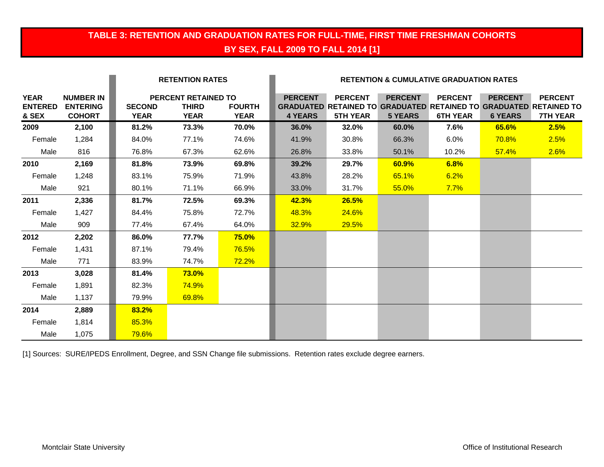### **TABLE 3: RETENTION AND GRADUATION RATES FOR FULL-TIME, FIRST TIME FRESHMAN COHORTS BY SEX, FALL 2009 TO FALL 2014 [1]**

|                                        |                                                      |                              | <b>RETENTION RATES</b>                                    |                              |                                  |                                   |                                  | <b>RETENTION &amp; CUMULATIVE GRADUATION RATES</b> |                                  |                                                                                                               |
|----------------------------------------|------------------------------------------------------|------------------------------|-----------------------------------------------------------|------------------------------|----------------------------------|-----------------------------------|----------------------------------|----------------------------------------------------|----------------------------------|---------------------------------------------------------------------------------------------------------------|
| <b>YEAR</b><br><b>ENTERED</b><br>& SEX | <b>NUMBER IN</b><br><b>ENTERING</b><br><b>COHORT</b> | <b>SECOND</b><br><b>YEAR</b> | <b>PERCENT RETAINED TO</b><br><b>THIRD</b><br><b>YEAR</b> | <b>FOURTH</b><br><b>YEAR</b> | <b>PERCENT</b><br><b>4 YEARS</b> | <b>PERCENT</b><br><b>5TH YEAR</b> | <b>PERCENT</b><br><b>5 YEARS</b> | <b>PERCENT</b><br><b>6TH YEAR</b>                  | <b>PERCENT</b><br><b>6 YEARS</b> | <b>PERCENT</b><br><b>GRADUATED RETAINED TO GRADUATED RETAINED TO GRADUATED RETAINED TO</b><br><b>7TH YEAR</b> |
| 2009                                   | 2,100                                                | 81.2%                        | 73.3%                                                     | 70.0%                        | 36.0%                            | 32.0%                             | 60.0%                            | 7.6%                                               | 65.6%                            | 2.5%                                                                                                          |
| Female                                 | 1,284                                                | 84.0%                        | 77.1%                                                     | 74.6%                        | 41.9%                            | 30.8%                             | 66.3%                            | 6.0%                                               | 70.8%                            | 2.5%                                                                                                          |
| Male                                   | 816                                                  | 76.8%                        | 67.3%                                                     | 62.6%                        | 26.8%                            | 33.8%                             | 50.1%                            | 10.2%                                              | 57.4%                            | 2.6%                                                                                                          |
| 2010                                   | 2,169                                                | 81.8%                        | 73.9%                                                     | 69.8%                        | 39.2%                            | 29.7%                             | 60.9%                            | 6.8%                                               |                                  |                                                                                                               |
| Female                                 | 1,248                                                | 83.1%                        | 75.9%                                                     | 71.9%                        | 43.8%                            | 28.2%                             | 65.1%                            | 6.2%                                               |                                  |                                                                                                               |
| Male                                   | 921                                                  | 80.1%                        | 71.1%                                                     | 66.9%                        | 33.0%                            | 31.7%                             | 55.0%                            | 7.7%                                               |                                  |                                                                                                               |
| 2011                                   | 2,336                                                | 81.7%                        | 72.5%                                                     | 69.3%                        | 42.3%                            | 26.5%                             |                                  |                                                    |                                  |                                                                                                               |
| Female                                 | 1,427                                                | 84.4%                        | 75.8%                                                     | 72.7%                        | 48.3%                            | 24.6%                             |                                  |                                                    |                                  |                                                                                                               |
| Male                                   | 909                                                  | 77.4%                        | 67.4%                                                     | 64.0%                        | 32.9%                            | 29.5%                             |                                  |                                                    |                                  |                                                                                                               |
| 2012                                   | 2,202                                                | 86.0%                        | 77.7%                                                     | 75.0%                        |                                  |                                   |                                  |                                                    |                                  |                                                                                                               |
| Female                                 | 1,431                                                | 87.1%                        | 79.4%                                                     | 76.5%                        |                                  |                                   |                                  |                                                    |                                  |                                                                                                               |
| Male                                   | 771                                                  | 83.9%                        | 74.7%                                                     | 72.2%                        |                                  |                                   |                                  |                                                    |                                  |                                                                                                               |
| 2013                                   | 3,028                                                | 81.4%                        | $73.0\%$                                                  |                              |                                  |                                   |                                  |                                                    |                                  |                                                                                                               |
| Female                                 | 1,891                                                | 82.3%                        | <b>74.9%</b>                                              |                              |                                  |                                   |                                  |                                                    |                                  |                                                                                                               |
| Male                                   | 1,137                                                | 79.9%                        | 69.8%                                                     |                              |                                  |                                   |                                  |                                                    |                                  |                                                                                                               |
| 2014                                   | 2,889                                                | 83.2%                        |                                                           |                              |                                  |                                   |                                  |                                                    |                                  |                                                                                                               |
| Female                                 | 1,814                                                | 85.3%                        |                                                           |                              |                                  |                                   |                                  |                                                    |                                  |                                                                                                               |
| Male                                   | 1,075                                                | 79.6%                        |                                                           |                              |                                  |                                   |                                  |                                                    |                                  |                                                                                                               |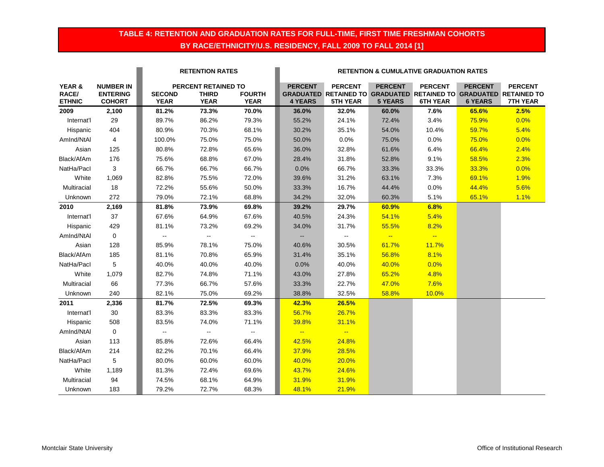### **TABLE 4: RETENTION AND GRADUATION RATES FOR FULL-TIME, FIRST TIME FRESHMAN COHORTS BY RACE/ETHNICITY/U.S. RESIDENCY, FALL 2009 TO FALL 2014 [1]**

|                                  |                                                      |                              | <b>RETENTION RATES</b>                             |                              |                                  |                                                                                                        |                                  | <b>RETENTION &amp; CUMULATIVE GRADUATION RATES</b> |                                  |                                   |
|----------------------------------|------------------------------------------------------|------------------------------|----------------------------------------------------|------------------------------|----------------------------------|--------------------------------------------------------------------------------------------------------|----------------------------------|----------------------------------------------------|----------------------------------|-----------------------------------|
| YEAR &<br>RACE/<br><b>ETHNIC</b> | <b>NUMBER IN</b><br><b>ENTERING</b><br><b>COHORT</b> | <b>SECOND</b><br><b>YEAR</b> | PERCENT RETAINED TO<br><b>THIRD</b><br><b>YEAR</b> | <b>FOURTH</b><br><b>YEAR</b> | <b>PERCENT</b><br><b>4 YEARS</b> | <b>PERCENT</b><br>GRADUATED RETAINED TO GRADUATED RETAINED TO GRADUATED RETAINED TO<br><b>5TH YEAR</b> | <b>PERCENT</b><br><b>5 YEARS</b> | <b>PERCENT</b><br><b>6TH YEAR</b>                  | <b>PERCENT</b><br><b>6 YEARS</b> | <b>PERCENT</b><br><b>7TH YEAR</b> |
| 2009                             | 2,100                                                | 81.2%                        | 73.3%                                              | 70.0%                        | 36.0%                            | 32.0%                                                                                                  | 60.0%                            | 7.6%                                               | 65.6%                            | 2.5%                              |
| Internat'l                       | 29                                                   | 89.7%                        | 86.2%                                              | 79.3%                        | 55.2%                            | 24.1%                                                                                                  | 72.4%                            | 3.4%                                               | 75.9%                            | 0.0%                              |
| Hispanic                         | 404                                                  | 80.9%                        | 70.3%                                              | 68.1%                        | 30.2%                            | 35.1%                                                                                                  | 54.0%                            | 10.4%                                              | 59.7%                            | 5.4%                              |
| AmInd/NtAl                       | 4                                                    | 100.0%                       | 75.0%                                              | 75.0%                        | 50.0%                            | 0.0%                                                                                                   | 75.0%                            | 0.0%                                               | 75.0%                            | 0.0%                              |
| Asian                            | 125                                                  | 80.8%                        | 72.8%                                              | 65.6%                        | 36.0%                            | 32.8%                                                                                                  | 61.6%                            | 6.4%                                               | 66.4%                            | 2.4%                              |
| Black/AfAm                       | 176                                                  | 75.6%                        | 68.8%                                              | 67.0%                        | 28.4%                            | 31.8%                                                                                                  | 52.8%                            | 9.1%                                               | 58.5%                            | 2.3%                              |
| NatHa/Pacl                       | 3                                                    | 66.7%                        | 66.7%                                              | 66.7%                        | 0.0%                             | 66.7%                                                                                                  | 33.3%                            | 33.3%                                              | 33.3%                            | 0.0%                              |
| White                            | 1,069                                                | 82.8%                        | 75.5%                                              | 72.0%                        | 39.6%                            | 31.2%                                                                                                  | 63.1%                            | 7.3%                                               | 69.1%                            | 1.9%                              |
| Multiracial                      | 18                                                   | 72.2%                        | 55.6%                                              | 50.0%                        | 33.3%                            | 16.7%                                                                                                  | 44.4%                            | 0.0%                                               | 44.4%                            | 5.6%                              |
| Unknown                          | 272                                                  | 79.0%                        | 72.1%                                              | 68.8%                        | 34.2%                            | 32.0%                                                                                                  | 60.3%                            | 5.1%                                               | 65.1%                            | 1.1%                              |
| 2010                             | 2,169                                                | 81.8%                        | 73.9%                                              | 69.8%                        | 39.2%                            | 29.7%                                                                                                  | 60.9%                            | 6.8%                                               |                                  |                                   |
| Internat'l                       | 37                                                   | 67.6%                        | 64.9%                                              | 67.6%                        | 40.5%                            | 24.3%                                                                                                  | 54.1%                            | 5.4%                                               |                                  |                                   |
| Hispanic                         | 429                                                  | 81.1%                        | 73.2%                                              | 69.2%                        | 34.0%                            | 31.7%                                                                                                  | 55.5%                            | 8.2%                                               |                                  |                                   |
| AmInd/NtAI                       | $\mathbf 0$                                          | $\sim$                       | $\sim$                                             | $\sim$                       | $\mathbf{u}$                     | $\overline{\phantom{a}}$                                                                               | $\frac{1}{2}$                    | $\left  \frac{1}{2} \right $                       |                                  |                                   |
| Asian                            | 128                                                  | 85.9%                        | 78.1%                                              | 75.0%                        | 40.6%                            | 30.5%                                                                                                  | 61.7%                            | 11.7%                                              |                                  |                                   |
| Black/AfAm                       | 185                                                  | 81.1%                        | 70.8%                                              | 65.9%                        | 31.4%                            | 35.1%                                                                                                  | 56.8%                            | 8.1%                                               |                                  |                                   |
| NatHa/Pacl                       | 5                                                    | 40.0%                        | 40.0%                                              | 40.0%                        | 0.0%                             | 40.0%                                                                                                  | 40.0%                            | 0.0%                                               |                                  |                                   |
| White                            | 1,079                                                | 82.7%                        | 74.8%                                              | 71.1%                        | 43.0%                            | 27.8%                                                                                                  | 65.2%                            | 4.8%                                               |                                  |                                   |
| Multiracial                      | 66                                                   | 77.3%                        | 66.7%                                              | 57.6%                        | 33.3%                            | 22.7%                                                                                                  | 47.0%                            | 7.6%                                               |                                  |                                   |
| Unknown                          | 240                                                  | 82.1%                        | 75.0%                                              | 69.2%                        | 38.8%                            | 32.5%                                                                                                  | 58.8%                            | 10.0%                                              |                                  |                                   |
| 2011                             | 2,336                                                | 81.7%                        | 72.5%                                              | 69.3%                        | 42.3%                            | 26.5%                                                                                                  |                                  |                                                    |                                  |                                   |
| Internat'l                       | 30                                                   | 83.3%                        | 83.3%                                              | 83.3%                        | 56.7%                            | 26.7%                                                                                                  |                                  |                                                    |                                  |                                   |
| Hispanic                         | 508                                                  | 83.5%                        | 74.0%                                              | 71.1%                        | 39.8%                            | 31.1%                                                                                                  |                                  |                                                    |                                  |                                   |
| AmInd/NtAI                       | $\mathbf 0$                                          | $\mathbb{Z}^{\mathbb{Z}}$    | $\mathbb{Z}^2$                                     | $\sim$                       | $\frac{1}{2}$                    | $\sim$                                                                                                 |                                  |                                                    |                                  |                                   |
| Asian                            | 113                                                  | 85.8%                        | 72.6%                                              | 66.4%                        | 42.5%                            | 24.8%                                                                                                  |                                  |                                                    |                                  |                                   |
| Black/AfAm                       | 214                                                  | 82.2%                        | 70.1%                                              | 66.4%                        | 37.9%                            | 28.5%                                                                                                  |                                  |                                                    |                                  |                                   |
| NatHa/Pacl                       | 5                                                    | 80.0%                        | 60.0%                                              | 60.0%                        | 40.0%                            | 20.0%                                                                                                  |                                  |                                                    |                                  |                                   |
| White                            | 1,189                                                | 81.3%                        | 72.4%                                              | 69.6%                        | 43.7%                            | 24.6%                                                                                                  |                                  |                                                    |                                  |                                   |
| Multiracial                      | 94                                                   | 74.5%                        | 68.1%                                              | 64.9%                        | 31.9%                            | 31.9%                                                                                                  |                                  |                                                    |                                  |                                   |
| Unknown                          | 183                                                  | 79.2%                        | 72.7%                                              | 68.3%                        | 48.1%                            | 21.9%                                                                                                  |                                  |                                                    |                                  |                                   |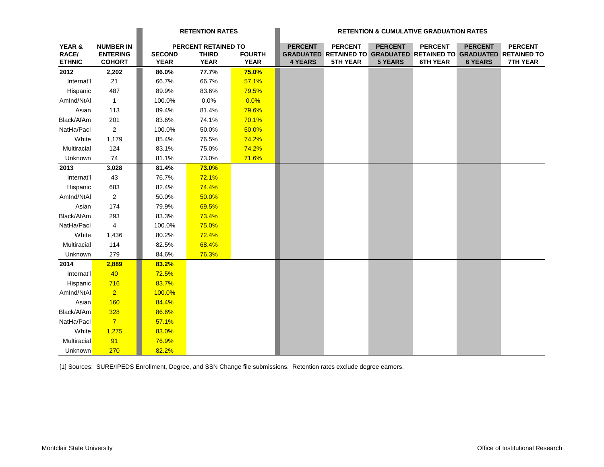|                                  |                                                      |                              | <b>RETENTION RATES</b>                             |                              |                                  |                                                                                                               |                                  | <b>RETENTION &amp; CUMULATIVE GRADUATION RATES</b> |                                  |                                   |
|----------------------------------|------------------------------------------------------|------------------------------|----------------------------------------------------|------------------------------|----------------------------------|---------------------------------------------------------------------------------------------------------------|----------------------------------|----------------------------------------------------|----------------------------------|-----------------------------------|
| YEAR &<br>RACE/<br><b>ETHNIC</b> | <b>NUMBER IN</b><br><b>ENTERING</b><br><b>COHORT</b> | <b>SECOND</b><br><b>YEAR</b> | PERCENT RETAINED TO<br><b>THIRD</b><br><b>YEAR</b> | <b>FOURTH</b><br><b>YEAR</b> | <b>PERCENT</b><br><b>4 YEARS</b> | <b>PERCENT</b><br><b>GRADUATED RETAINED TO GRADUATED RETAINED TO GRADUATED RETAINED TO</b><br><b>5TH YEAR</b> | <b>PERCENT</b><br><b>5 YEARS</b> | <b>PERCENT</b><br><b>6TH YEAR</b>                  | <b>PERCENT</b><br><b>6 YEARS</b> | <b>PERCENT</b><br><b>7TH YEAR</b> |
| 2012                             | 2,202                                                | 86.0%                        | 77.7%                                              | 75.0%                        |                                  |                                                                                                               |                                  |                                                    |                                  |                                   |
| Internat'l                       | 21                                                   | 66.7%                        | 66.7%                                              | 57.1%                        |                                  |                                                                                                               |                                  |                                                    |                                  |                                   |
| Hispanic                         | 487                                                  | 89.9%                        | 83.6%                                              | 79.5%                        |                                  |                                                                                                               |                                  |                                                    |                                  |                                   |
| AmInd/NtAI                       | $\overline{1}$                                       | 100.0%                       | 0.0%                                               | 0.0%                         |                                  |                                                                                                               |                                  |                                                    |                                  |                                   |
| Asian                            | 113                                                  | 89.4%                        | 81.4%                                              | 79.6%                        |                                  |                                                                                                               |                                  |                                                    |                                  |                                   |
| Black/AfAm                       | 201                                                  | 83.6%                        | 74.1%                                              | 70.1%                        |                                  |                                                                                                               |                                  |                                                    |                                  |                                   |
| NatHa/Pacl                       | $\overline{2}$                                       | 100.0%                       | 50.0%                                              | 50.0%                        |                                  |                                                                                                               |                                  |                                                    |                                  |                                   |
| White                            | 1,179                                                | 85.4%                        | 76.5%                                              | 74.2%                        |                                  |                                                                                                               |                                  |                                                    |                                  |                                   |
| Multiracial                      | 124                                                  | 83.1%                        | 75.0%                                              | 74.2%                        |                                  |                                                                                                               |                                  |                                                    |                                  |                                   |
| Unknown                          | 74                                                   | 81.1%                        | 73.0%                                              | 71.6%                        |                                  |                                                                                                               |                                  |                                                    |                                  |                                   |
| 2013                             | 3,028                                                | 81.4%                        | <b>73.0%</b>                                       |                              |                                  |                                                                                                               |                                  |                                                    |                                  |                                   |
| Internat'l                       | 43                                                   | 76.7%                        | 72.1%                                              |                              |                                  |                                                                                                               |                                  |                                                    |                                  |                                   |
| Hispanic                         | 683                                                  | 82.4%                        | 74.4%                                              |                              |                                  |                                                                                                               |                                  |                                                    |                                  |                                   |
| AmInd/NtAl                       | $\overline{a}$                                       | 50.0%                        | 50.0%                                              |                              |                                  |                                                                                                               |                                  |                                                    |                                  |                                   |
| Asian                            | 174                                                  | 79.9%                        | 69.5%                                              |                              |                                  |                                                                                                               |                                  |                                                    |                                  |                                   |
| Black/AfAm                       | 293                                                  | 83.3%                        | 73.4%                                              |                              |                                  |                                                                                                               |                                  |                                                    |                                  |                                   |
| NatHa/Pacl                       | $\overline{4}$                                       | 100.0%                       | 75.0%                                              |                              |                                  |                                                                                                               |                                  |                                                    |                                  |                                   |
| White                            | 1,436                                                | 80.2%                        | 72.4%                                              |                              |                                  |                                                                                                               |                                  |                                                    |                                  |                                   |
| Multiracial                      | 114                                                  | 82.5%                        | 68.4%                                              |                              |                                  |                                                                                                               |                                  |                                                    |                                  |                                   |
| Unknown                          | 279                                                  | 84.6%                        | 76.3%                                              |                              |                                  |                                                                                                               |                                  |                                                    |                                  |                                   |
| 2014                             | 2,889                                                | 83.2%                        |                                                    |                              |                                  |                                                                                                               |                                  |                                                    |                                  |                                   |
| Internat'l                       | 40                                                   | 72.5%                        |                                                    |                              |                                  |                                                                                                               |                                  |                                                    |                                  |                                   |
| Hispanic                         | 716                                                  | 83.7%                        |                                                    |                              |                                  |                                                                                                               |                                  |                                                    |                                  |                                   |
| AmInd/NtAl                       | $\overline{2}$                                       | 100.0%                       |                                                    |                              |                                  |                                                                                                               |                                  |                                                    |                                  |                                   |
| Asian                            | <b>160</b>                                           | 84.4%                        |                                                    |                              |                                  |                                                                                                               |                                  |                                                    |                                  |                                   |
| Black/AfAm                       | 328                                                  | 86.6%                        |                                                    |                              |                                  |                                                                                                               |                                  |                                                    |                                  |                                   |
| NatHa/Pacl                       | $\overline{7}$                                       | 57.1%                        |                                                    |                              |                                  |                                                                                                               |                                  |                                                    |                                  |                                   |
| White                            | 1,275                                                | 83.0%                        |                                                    |                              |                                  |                                                                                                               |                                  |                                                    |                                  |                                   |
| Multiracial                      | 91                                                   | 76.9%                        |                                                    |                              |                                  |                                                                                                               |                                  |                                                    |                                  |                                   |
| Unknown                          | 270                                                  | 82.2%                        |                                                    |                              |                                  |                                                                                                               |                                  |                                                    |                                  |                                   |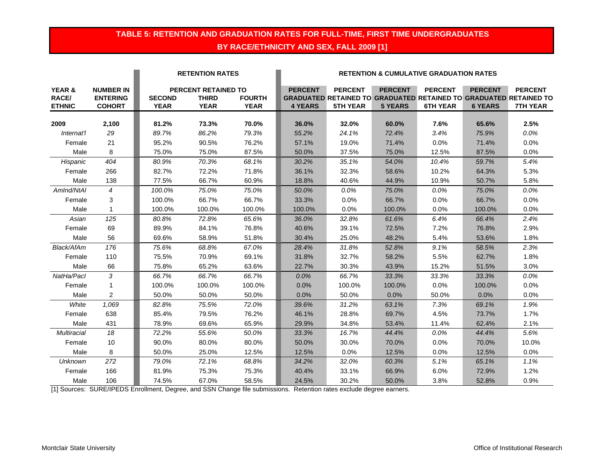### **TABLE 5: RETENTION AND GRADUATION RATES FOR FULL-TIME, FIRST TIME UNDERGRADUATES BY RACE/ETHNICITY AND SEX, FALL 2009 [1]**

|                                             |                                                      |                              | <b>RETENTION RATES</b>                                    |                              | <b>RETENTION &amp; CUMULATIVE GRADUATION RATES</b> |                                                                                                        |                                  |                                   |                                  |                                   |
|---------------------------------------------|------------------------------------------------------|------------------------------|-----------------------------------------------------------|------------------------------|----------------------------------------------------|--------------------------------------------------------------------------------------------------------|----------------------------------|-----------------------------------|----------------------------------|-----------------------------------|
| <b>YEAR &amp;</b><br>RACE/<br><b>ETHNIC</b> | <b>NUMBER IN</b><br><b>ENTERING</b><br><b>COHORT</b> | <b>SECOND</b><br><b>YEAR</b> | <b>PERCENT RETAINED TO</b><br><b>THIRD</b><br><b>YEAR</b> | <b>FOURTH</b><br><b>YEAR</b> | <b>PERCENT</b><br><b>4 YEARS</b>                   | <b>PERCENT</b><br>GRADUATED RETAINED TO GRADUATED RETAINED TO GRADUATED RETAINED TO<br><b>5TH YEAR</b> | <b>PERCENT</b><br><b>5 YEARS</b> | <b>PERCENT</b><br><b>6TH YEAR</b> | <b>PERCENT</b><br><b>6 YEARS</b> | <b>PERCENT</b><br><b>7TH YEAR</b> |
| 2009                                        | 2,100                                                | 81.2%                        | 73.3%                                                     | 70.0%                        | 36.0%                                              | 32.0%                                                                                                  | 60.0%                            | 7.6%                              | 65.6%                            | 2.5%                              |
| Internat'l                                  | 29                                                   | 89.7%                        | 86.2%                                                     | 79.3%                        | 55.2%                                              | 24.1%                                                                                                  | 72.4%                            | 3.4%                              | 75.9%                            | $0.0\%$                           |
| Female                                      | 21                                                   | 95.2%                        |                                                           | 76.2%                        | 57.1%                                              | 19.0%                                                                                                  | 71.4%                            | 0.0%                              | 71.4%                            | 0.0%                              |
| Male                                        | 8                                                    | 75.0%                        | 90.5%<br>75.0%                                            |                              | 50.0%                                              | 37.5%                                                                                                  | 75.0%                            | 12.5%                             | 87.5%                            | 0.0%                              |
|                                             | 404                                                  | 80.9%                        | 70.3%                                                     | 87.5%                        | 30.2%                                              |                                                                                                        | 54.0%                            | 10.4%                             |                                  | 5.4%                              |
| Hispanic<br>Female                          | 266                                                  | 82.7%                        | 72.2%                                                     | 68.1%<br>71.8%               | 36.1%                                              | 35.1%<br>32.3%                                                                                         | 58.6%                            | 10.2%                             | 59.7%                            | 5.3%                              |
| Male                                        | 138                                                  | 77.5%                        | 66.7%                                                     | 60.9%                        | 18.8%                                              | 40.6%                                                                                                  | 44.9%                            | 10.9%                             | 64.3%<br>50.7%                   | 5.8%                              |
| AmInd/NtAI                                  | $\overline{4}$                                       |                              |                                                           |                              |                                                    |                                                                                                        |                                  |                                   |                                  |                                   |
|                                             |                                                      | 100.0%<br>100.0%             | 75.0%<br>66.7%                                            | 75.0%<br>66.7%               | 50.0%                                              | 0.0%                                                                                                   | 75.0%<br>66.7%                   | 0.0%<br>0.0%                      | 75.0%                            | 0.0%                              |
| Female<br>Male                              | 3<br>$\mathbf{1}$                                    | 100.0%                       | 100.0%                                                    | 100.0%                       | 33.3%                                              | 0.0%                                                                                                   |                                  | 0.0%                              | 66.7%<br>100.0%                  | 0.0%                              |
|                                             |                                                      |                              |                                                           |                              | 100.0%                                             | 0.0%                                                                                                   | 100.0%                           |                                   |                                  | 0.0%                              |
| Asian                                       | 125                                                  | 80.8%                        | 72.8%                                                     | 65.6%                        | 36.0%                                              | 32.8%                                                                                                  | 61.6%                            | 6.4%                              | 66.4%                            | 2.4%                              |
| Female                                      | 69                                                   | 89.9%                        | 84.1%                                                     | 76.8%                        | 40.6%                                              | 39.1%                                                                                                  | 72.5%                            | 7.2%                              | 76.8%                            | 2.9%                              |
| Male                                        | 56                                                   | 69.6%                        | 58.9%                                                     | 51.8%                        | 30.4%                                              | 25.0%                                                                                                  | 48.2%                            | 5.4%                              | 53.6%                            | 1.8%                              |
| Black/AfAm                                  | 176                                                  | 75.6%                        | 68.8%                                                     | 67.0%                        | 28.4%                                              | 31.8%                                                                                                  | 52.8%                            | 9.1%                              | 58.5%                            | 2.3%                              |
| Female                                      | 110                                                  | 75.5%                        | 70.9%                                                     | 69.1%                        | 31.8%                                              | 32.7%                                                                                                  | 58.2%                            | 5.5%                              | 62.7%                            | 1.8%                              |
| Male                                        | 66                                                   | 75.8%                        | 65.2%                                                     | 63.6%                        | 22.7%                                              | 30.3%                                                                                                  | 43.9%                            | 15.2%                             | 51.5%                            | 3.0%                              |
| NatHa/Pacl                                  | 3                                                    | 66.7%                        | 66.7%                                                     | 66.7%                        | 0.0%                                               | 66.7%                                                                                                  | 33.3%                            | 33.3%                             | 33.3%                            | 0.0%                              |
| Female                                      | 1                                                    | 100.0%                       | 100.0%                                                    | 100.0%                       | 0.0%                                               | 100.0%                                                                                                 | 100.0%                           | 0.0%                              | 100.0%                           | 0.0%                              |
| Male                                        | $\overline{2}$                                       | 50.0%                        | 50.0%                                                     | 50.0%                        | 0.0%                                               | 50.0%                                                                                                  | 0.0%                             | 50.0%                             | 0.0%                             | 0.0%                              |
| White                                       | 1,069                                                | 82.8%                        | 75.5%                                                     | 72.0%                        | 39.6%                                              | 31.2%                                                                                                  | 63.1%                            | 7.3%                              | 69.1%                            | 1.9%                              |
| Female                                      | 638                                                  | 85.4%                        | 79.5%                                                     | 76.2%                        | 46.1%                                              | 28.8%                                                                                                  | 69.7%                            | 4.5%                              | 73.7%                            | 1.7%                              |
| Male                                        | 431                                                  | 78.9%                        | 69.6%                                                     | 65.9%                        | 29.9%                                              | 34.8%                                                                                                  | 53.4%                            | 11.4%                             | 62.4%                            | 2.1%                              |
| <b>Multiracial</b>                          | 18                                                   | 72.2%                        | 55.6%                                                     | 50.0%                        | 33.3%                                              | 16.7%                                                                                                  | 44.4%                            | 0.0%                              | 44.4%                            | 5.6%                              |
| Female                                      | 10                                                   | 90.0%                        | 80.0%                                                     | 80.0%                        | 50.0%                                              | 30.0%                                                                                                  | 70.0%                            | 0.0%                              | 70.0%                            | 10.0%                             |
| Male                                        | 8                                                    | 50.0%                        | 25.0%                                                     | 12.5%                        | 12.5%                                              | 0.0%                                                                                                   | 12.5%                            | 0.0%                              | 12.5%                            | 0.0%                              |
| <b>Unknown</b>                              | 272                                                  | 79.0%                        | 72.1%                                                     | 68.8%                        | 34.2%                                              | 32.0%                                                                                                  | 60.3%                            | 5.1%                              | 65.1%                            | 1.1%                              |
| Female                                      | 166                                                  | 81.9%                        | 75.3%                                                     | 75.3%                        | 40.4%                                              | 33.1%                                                                                                  | 66.9%                            | 6.0%                              | 72.9%                            | 1.2%                              |
| Male                                        | 106                                                  | 74.5%                        | 67.0%                                                     | 58.5%                        | 24.5%                                              | 30.2%                                                                                                  | 50.0%                            | 3.8%                              | 52.8%                            | 0.9%                              |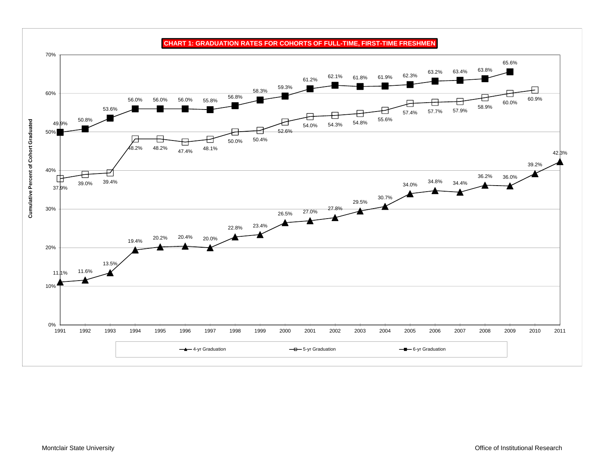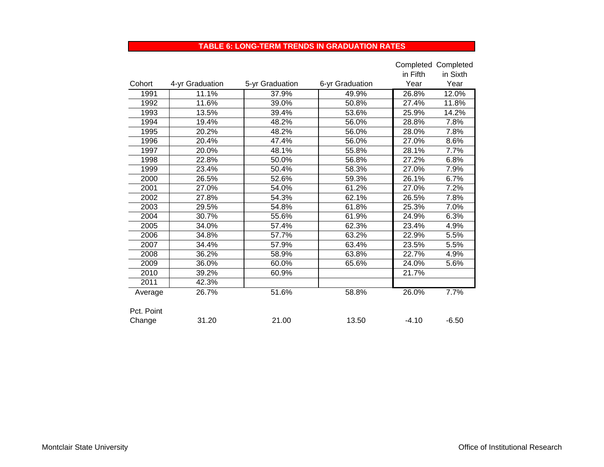#### **TABLE 6: LONG-TERM TRENDS IN GRADUATION RATES**

|            |                 |                 |                 |          | Completed Completed |
|------------|-----------------|-----------------|-----------------|----------|---------------------|
|            |                 |                 |                 | in Fifth | in Sixth            |
| Cohort     | 4-yr Graduation | 5-yr Graduation | 6-yr Graduation | Year     | Year                |
| 1991       | 11.1%           | 37.9%           | 49.9%           | 26.8%    | 12.0%               |
| 1992       | 11.6%           | 39.0%           | 50.8%           | 27.4%    | 11.8%               |
| 1993       | 13.5%           | 39.4%           | 53.6%           | 25.9%    | 14.2%               |
| 1994       | 19.4%           | 48.2%           | 56.0%           | 28.8%    | 7.8%                |
| 1995       | 20.2%           | 48.2%           | 56.0%           | 28.0%    | 7.8%                |
| 1996       | 20.4%           | 47.4%           | 56.0%           | 27.0%    | 8.6%                |
| 1997       | 20.0%           | 48.1%           | 55.8%           | 28.1%    | 7.7%                |
| 1998       | 22.8%           | 50.0%           | 56.8%           | 27.2%    | 6.8%                |
| 1999       | 23.4%           | 50.4%           | 58.3%           | 27.0%    | 7.9%                |
| 2000       | 26.5%           | 52.6%           | 59.3%           | 26.1%    | 6.7%                |
| 2001       | 27.0%           | 54.0%           | 61.2%           | 27.0%    | 7.2%                |
| 2002       | 27.8%           | 54.3%           | 62.1%           | 26.5%    | 7.8%                |
| 2003       | 29.5%           | 54.8%           | 61.8%           | 25.3%    | 7.0%                |
| 2004       | 30.7%           | 55.6%           | 61.9%           | 24.9%    | 6.3%                |
| 2005       | 34.0%           | 57.4%           | 62.3%           | 23.4%    | 4.9%                |
| 2006       | 34.8%           | 57.7%           | 63.2%           | 22.9%    | 5.5%                |
| 2007       | 34.4%           | 57.9%           | 63.4%           | 23.5%    | 5.5%                |
| 2008       | 36.2%           | 58.9%           | 63.8%           | 22.7%    | 4.9%                |
| 2009       | 36.0%           | 60.0%           | 65.6%           | 24.0%    | 5.6%                |
| 2010       | 39.2%           | 60.9%           |                 | 21.7%    |                     |
| 2011       | 42.3%           |                 |                 |          |                     |
| Average    | 26.7%           | 51.6%           | 58.8%           | 26.0%    | 7.7%                |
|            |                 |                 |                 |          |                     |
| Pct. Point |                 |                 |                 |          |                     |
| Change     | 31.20           | 21.00           | 13.50           | $-4.10$  | $-6.50$             |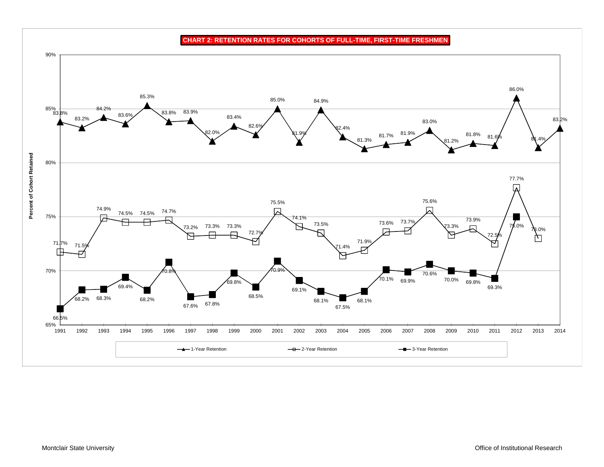**CHART 2: RETENTION RATES FOR COHORTS OF FULL-TIME, FIRST-TIME FRESHMEN**

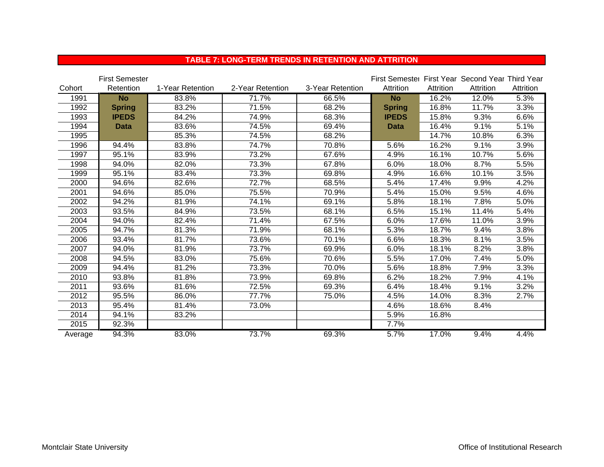|         | <b>First Semester</b> |                  |                  |                  | First Semester First Year Second Year Third Year |           |           |           |
|---------|-----------------------|------------------|------------------|------------------|--------------------------------------------------|-----------|-----------|-----------|
| Cohort  | Retention             | 1-Year Retention | 2-Year Retention | 3-Year Retention | Attrition                                        | Attrition | Attrition | Attrition |
| 1991    | <b>No</b>             | 83.8%            | 71.7%            | 66.5%            | <b>No</b>                                        | 16.2%     | 12.0%     | 5.3%      |
| 1992    | <b>Spring</b>         | 83.2%            | 71.5%            | 68.2%            | <b>Spring</b>                                    | 16.8%     | 11.7%     | 3.3%      |
| 1993    | <b>IPEDS</b>          | 84.2%            | 74.9%            | 68.3%            | <b>IPEDS</b>                                     | 15.8%     | 9.3%      | 6.6%      |
| 1994    | <b>Data</b>           | 83.6%            | 74.5%            | 69.4%            | <b>Data</b>                                      | 16.4%     | 9.1%      | 5.1%      |
| 1995    |                       | 85.3%            | 74.5%            | 68.2%            |                                                  | 14.7%     | 10.8%     | 6.3%      |
| 1996    | 94.4%                 | 83.8%            | 74.7%            | 70.8%            | 5.6%                                             | 16.2%     | 9.1%      | 3.9%      |
| 1997    | 95.1%                 | 83.9%            | 73.2%            | 67.6%            | 4.9%                                             | 16.1%     | 10.7%     | 5.6%      |
| 1998    | 94.0%                 | 82.0%            | 73.3%            | 67.8%            | 6.0%                                             | 18.0%     | 8.7%      | 5.5%      |
| 1999    | 95.1%                 | 83.4%            | 73.3%            | 69.8%            | 4.9%                                             | 16.6%     | 10.1%     | 3.5%      |
| 2000    | 94.6%                 | 82.6%            | 72.7%            | 68.5%            | 5.4%                                             | 17.4%     | 9.9%      | 4.2%      |
| 2001    | 94.6%                 | 85.0%            | 75.5%            | 70.9%            | 5.4%                                             | 15.0%     | 9.5%      | 4.6%      |
| 2002    | 94.2%                 | 81.9%            | 74.1%            | 69.1%            | 5.8%                                             | 18.1%     | 7.8%      | 5.0%      |
| 2003    | 93.5%                 | 84.9%            | 73.5%            | 68.1%            | 6.5%                                             | 15.1%     | 11.4%     | 5.4%      |
| 2004    | 94.0%                 | 82.4%            | 71.4%            | 67.5%            | 6.0%                                             | 17.6%     | 11.0%     | 3.9%      |
| 2005    | 94.7%                 | 81.3%            | 71.9%            | 68.1%            | 5.3%                                             | 18.7%     | 9.4%      | 3.8%      |
| 2006    | 93.4%                 | 81.7%            | 73.6%            | 70.1%            | 6.6%                                             | 18.3%     | 8.1%      | 3.5%      |
| 2007    | 94.0%                 | 81.9%            | 73.7%            | 69.9%            | 6.0%                                             | 18.1%     | 8.2%      | 3.8%      |
| 2008    | 94.5%                 | 83.0%            | 75.6%            | 70.6%            | 5.5%                                             | 17.0%     | 7.4%      | 5.0%      |
| 2009    | 94.4%                 | 81.2%            | 73.3%            | 70.0%            | 5.6%                                             | 18.8%     | 7.9%      | 3.3%      |
| 2010    | 93.8%                 | 81.8%            | 73.9%            | 69.8%            | 6.2%                                             | 18.2%     | 7.9%      | 4.1%      |
| 2011    | 93.6%                 | 81.6%            | 72.5%            | 69.3%            | 6.4%                                             | 18.4%     | 9.1%      | 3.2%      |
| 2012    | 95.5%                 | 86.0%            | 77.7%            | 75.0%            | 4.5%                                             | 14.0%     | 8.3%      | 2.7%      |
| 2013    | 95.4%                 | 81.4%            | 73.0%            |                  | 4.6%                                             | 18.6%     | 8.4%      |           |
| 2014    | 94.1%                 | 83.2%            |                  |                  | 5.9%                                             | 16.8%     |           |           |
| 2015    | 92.3%                 |                  |                  |                  | 7.7%                                             |           |           |           |
| Average | 94.3%                 | 83.0%            | 73.7%            | 69.3%            | 5.7%                                             | 17.0%     | 9.4%      | 4.4%      |

#### **TABLE 7: LONG-TERM TRENDS IN RETENTION AND ATTRITION**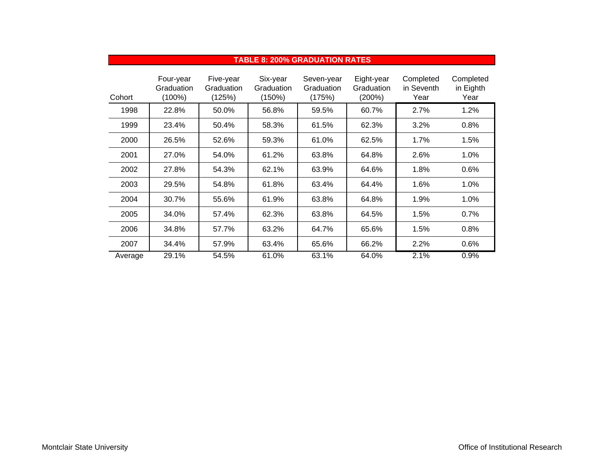|         |                                   |                                   |                                  | TABLE 8: 200% GRADUATION RATES     |                                    |                                 |                                |
|---------|-----------------------------------|-----------------------------------|----------------------------------|------------------------------------|------------------------------------|---------------------------------|--------------------------------|
| Cohort  | Four-year<br>Graduation<br>(100%) | Five-year<br>Graduation<br>(125%) | Six-year<br>Graduation<br>(150%) | Seven-year<br>Graduation<br>(175%) | Eight-year<br>Graduation<br>(200%) | Completed<br>in Seventh<br>Year | Completed<br>in Eighth<br>Year |
| 1998    | 22.8%                             | 50.0%                             | 56.8%                            | 59.5%                              | 60.7%                              | 2.7%                            | 1.2%                           |
| 1999    | 23.4%                             | 50.4%                             | 58.3%                            | 61.5%                              | 62.3%                              | 3.2%                            | 0.8%                           |
| 2000    | 26.5%                             | 52.6%                             | 59.3%                            | 61.0%                              | 62.5%                              | 1.7%                            | 1.5%                           |
| 2001    | 27.0%                             | 54.0%                             | 61.2%                            | 63.8%                              | 64.8%                              | 2.6%                            | 1.0%                           |
| 2002    | 27.8%                             | 54.3%                             | 62.1%                            | 63.9%                              | 64.6%                              | 1.8%                            | 0.6%                           |
| 2003    | 29.5%                             | 54.8%                             | 61.8%                            | 63.4%                              | 64.4%                              | 1.6%                            | 1.0%                           |
| 2004    | 30.7%                             | 55.6%                             | 61.9%                            | 63.8%                              | 64.8%                              | 1.9%                            | 1.0%                           |
| 2005    | 34.0%                             | 57.4%                             | 62.3%                            | 63.8%                              | 64.5%                              | 1.5%                            | 0.7%                           |
| 2006    | 34.8%                             | 57.7%                             | 63.2%                            | 64.7%                              | 65.6%                              | 1.5%                            | 0.8%                           |
| 2007    | 34.4%                             | 57.9%                             | 63.4%                            | 65.6%                              | 66.2%                              | 2.2%                            | 0.6%                           |
| Average | 29.1%                             | 54.5%                             | 61.0%                            | 63.1%                              | 64.0%                              | 2.1%                            | 0.9%                           |

#### **TABLE 8: 200% GRADUATION RATES**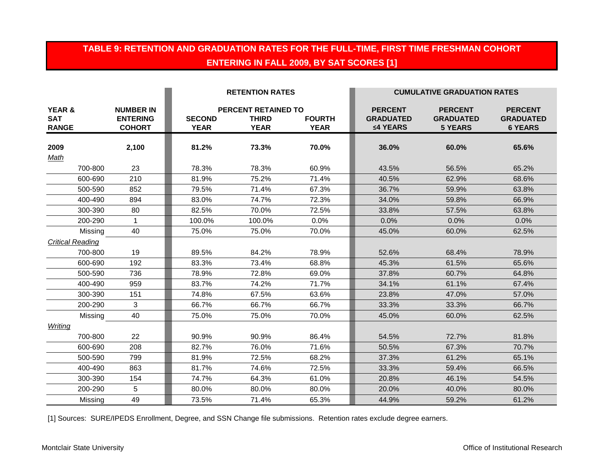### **TABLE 9: RETENTION AND GRADUATION RATES FOR THE FULL-TIME, FIRST TIME FRESHMAN COHORT ENTERING IN FALL 2009, BY SAT SCORES [1]**

|                                                 |                                                      |                              | <b>RETENTION RATES</b>                                    |                              |                                                | <b>CUMULATIVE GRADUATION RATES</b>                   |                                                      |
|-------------------------------------------------|------------------------------------------------------|------------------------------|-----------------------------------------------------------|------------------------------|------------------------------------------------|------------------------------------------------------|------------------------------------------------------|
| <b>YEAR &amp;</b><br><b>SAT</b><br><b>RANGE</b> | <b>NUMBER IN</b><br><b>ENTERING</b><br><b>COHORT</b> | <b>SECOND</b><br><b>YEAR</b> | <b>PERCENT RETAINED TO</b><br><b>THIRD</b><br><b>YEAR</b> | <b>FOURTH</b><br><b>YEAR</b> | <b>PERCENT</b><br><b>GRADUATED</b><br>≤4 YEARS | <b>PERCENT</b><br><b>GRADUATED</b><br><b>5 YEARS</b> | <b>PERCENT</b><br><b>GRADUATED</b><br><b>6 YEARS</b> |
| 2009<br>Math                                    | 2,100                                                | 81.2%                        | 73.3%                                                     | 70.0%                        | 36.0%                                          | 60.0%                                                | 65.6%                                                |
| 700-800                                         | 23                                                   | 78.3%                        | 78.3%                                                     | 60.9%                        | 43.5%                                          | 56.5%                                                | 65.2%                                                |
| 600-690                                         | 210                                                  | 81.9%                        | 75.2%                                                     | 71.4%                        | 40.5%                                          | 62.9%                                                | 68.6%                                                |
| 500-590                                         | 852                                                  | 79.5%                        | 71.4%                                                     | 67.3%                        | 36.7%                                          | 59.9%                                                | 63.8%                                                |
| 400-490                                         | 894                                                  | 83.0%                        | 74.7%                                                     | 72.3%                        | 34.0%                                          | 59.8%                                                | 66.9%                                                |
| 300-390                                         | 80                                                   | 82.5%                        | 70.0%                                                     | 72.5%                        | 33.8%                                          | 57.5%                                                | 63.8%                                                |
| 200-290                                         | $\mathbf 1$                                          | 100.0%                       | 100.0%                                                    | 0.0%                         | 0.0%                                           | 0.0%                                                 | $0.0\%$                                              |
| Missing                                         | 40                                                   | 75.0%                        | 75.0%                                                     | 70.0%                        | 45.0%                                          | 60.0%                                                | 62.5%                                                |
| <b>Critical Reading</b>                         |                                                      |                              |                                                           |                              |                                                |                                                      |                                                      |
| 700-800                                         | 19                                                   | 89.5%                        | 84.2%                                                     | 78.9%                        | 52.6%                                          | 68.4%                                                | 78.9%                                                |
| 600-690                                         | 192                                                  | 83.3%                        | 73.4%                                                     | 68.8%                        | 45.3%                                          | 61.5%                                                | 65.6%                                                |
| 500-590                                         | 736                                                  | 78.9%                        | 72.8%                                                     | 69.0%                        | 37.8%                                          | 60.7%                                                | 64.8%                                                |
| 400-490                                         | 959                                                  | 83.7%                        | 74.2%                                                     | 71.7%                        | 34.1%                                          | 61.1%                                                | 67.4%                                                |
| 300-390                                         | 151                                                  | 74.8%                        | 67.5%                                                     | 63.6%                        | 23.8%                                          | 47.0%                                                | 57.0%                                                |
| 200-290                                         | 3                                                    | 66.7%                        | 66.7%                                                     | 66.7%                        | 33.3%                                          | 33.3%                                                | 66.7%                                                |
| Missing                                         | 40                                                   | 75.0%                        | 75.0%                                                     | 70.0%                        | 45.0%                                          | 60.0%                                                | 62.5%                                                |
| Writing                                         |                                                      |                              |                                                           |                              |                                                |                                                      |                                                      |
| 700-800                                         | 22                                                   | 90.9%                        | 90.9%                                                     | 86.4%                        | 54.5%                                          | 72.7%                                                | 81.8%                                                |
| 600-690                                         | 208                                                  | 82.7%                        | 76.0%                                                     | 71.6%                        | 50.5%                                          | 67.3%                                                | 70.7%                                                |
| 500-590                                         | 799                                                  | 81.9%                        | 72.5%                                                     | 68.2%                        | 37.3%                                          | 61.2%                                                | 65.1%                                                |
| 400-490                                         | 863                                                  | 81.7%                        | 74.6%                                                     | 72.5%                        | 33.3%                                          | 59.4%                                                | 66.5%                                                |
| 300-390                                         | 154                                                  | 74.7%                        | 64.3%                                                     | 61.0%                        | 20.8%                                          | 46.1%                                                | 54.5%                                                |
| 200-290                                         | 5                                                    | 80.0%                        | 80.0%                                                     | 80.0%                        | 20.0%                                          | 40.0%                                                | 80.0%                                                |
| Missing                                         | 49                                                   | 73.5%                        | 71.4%                                                     | 65.3%                        | 44.9%                                          | 59.2%                                                | 61.2%                                                |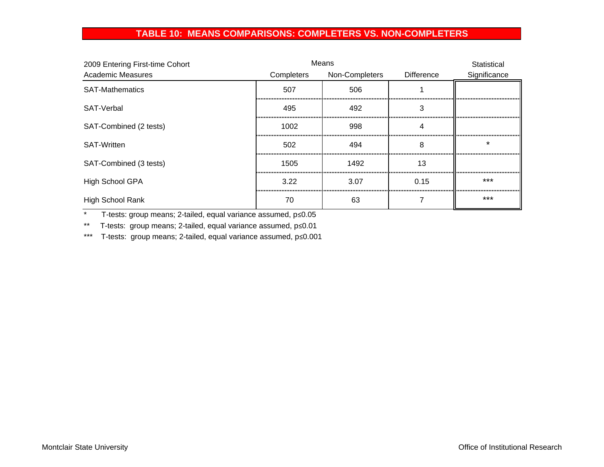### **TABLE 10: MEANS COMPARISONS: COMPLETERS VS. NON-COMPLETERS**

| 2009 Entering First-time Cohort |            | Means          |            | Statistical  |
|---------------------------------|------------|----------------|------------|--------------|
| <b>Academic Measures</b>        | Completers | Non-Completers | Difference | Significance |
| <b>SAT-Mathematics</b>          | 507        | 506            |            |              |
| SAT-Verbal                      | 495        | 492            |            |              |
| SAT-Combined (2 tests)          | 1002       | 998            |            |              |
| <b>SAT-Written</b>              | 502        | 494            | 8          |              |
| SAT-Combined (3 tests)          | 1505       | 1492           | 13         |              |
| <b>High School GPA</b>          | 3.22       | 3.07           | 0.15       | ***          |
| High School Rank                | 70         | 63             |            | ***          |

\* T-tests: group means; 2-tailed, equal variance assumed, p≤0.05

\*\* T-tests: group means; 2-tailed, equal variance assumed, p≤0.01

\*\*\* T-tests: group means; 2-tailed, equal variance assumed, p≤0.001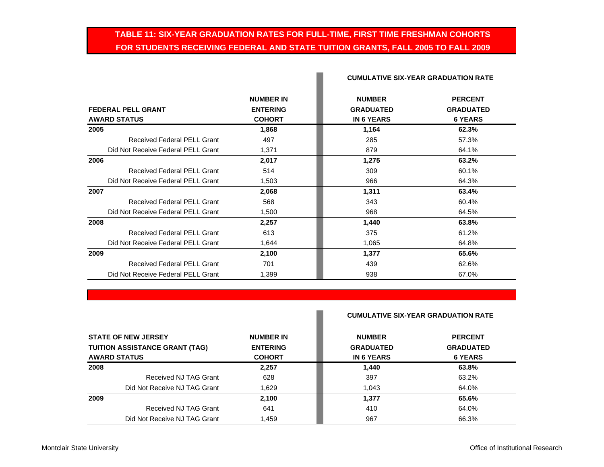### **TABLE 11: SIX-YEAR GRADUATION RATES FOR FULL-TIME, FIRST TIME FRESHMAN COHORTS FOR STUDENTS RECEIVING FEDERAL AND STATE TUITION GRANTS, FALL 2005 TO FALL 2009**

P.

|                                    | <b>NUMBER IN</b> | <b>NUMBER</b>     | <b>PERCENT</b>   |
|------------------------------------|------------------|-------------------|------------------|
| <b>FEDERAL PELL GRANT</b>          | <b>ENTERING</b>  | <b>GRADUATED</b>  | <b>GRADUATED</b> |
| <b>AWARD STATUS</b>                | <b>COHORT</b>    | <b>IN 6 YEARS</b> | <b>6 YEARS</b>   |
| 2005                               | 1,868            | 1,164             | 62.3%            |
| <b>Received Federal PELL Grant</b> | 497              | 285               | 57.3%            |
| Did Not Receive Federal PELL Grant | 1,371            | 879               | 64.1%            |
| 2006                               | 2,017            | 1,275             | 63.2%            |
| Received Federal PELL Grant        | 514              | 309               | 60.1%            |
| Did Not Receive Federal PELL Grant | 1,503            | 966               | 64.3%            |
| 2007                               | 2,068            | 1,311             | 63.4%            |
| <b>Received Federal PELL Grant</b> | 568              | 343               | 60.4%            |
| Did Not Receive Federal PELL Grant | 1,500            | 968               | 64.5%            |
| 2008                               | 2,257            | 1,440             | 63.8%            |
| Received Federal PELL Grant        | 613              | 375               | 61.2%            |
| Did Not Receive Federal PELL Grant | 1,644            | 1,065             | 64.8%            |
| 2009                               | 2,100            | 1,377             | 65.6%            |
| Received Federal PELL Grant        | 701              | 439               | 62.6%            |
| Did Not Receive Federal PELL Grant | 1,399            | 938               | 67.0%            |

#### **CUMULATIVE SIX-YEAR GRADUATION RATE**

|                                                                                            | <b>NUMBER IN</b><br><b>ENTERING</b><br><b>COHORT</b> | <b>CUMULATIVE SIX-YEAR GRADUATION RATE</b>             |                                                      |
|--------------------------------------------------------------------------------------------|------------------------------------------------------|--------------------------------------------------------|------------------------------------------------------|
| <b>STATE OF NEW JERSEY</b><br><b>TUITION ASSISTANCE GRANT (TAG)</b><br><b>AWARD STATUS</b> |                                                      | <b>NUMBER</b><br><b>GRADUATED</b><br><b>IN 6 YEARS</b> | <b>PERCENT</b><br><b>GRADUATED</b><br><b>6 YEARS</b> |
|                                                                                            |                                                      |                                                        |                                                      |
| Received NJ TAG Grant                                                                      | 628                                                  | 397                                                    | 63.2%                                                |
| Did Not Receive NJ TAG Grant                                                               | 1.629                                                | 1.043                                                  | 64.0%                                                |
| 2009                                                                                       | 2,100                                                | 1,377                                                  | 65.6%                                                |
| Received NJ TAG Grant                                                                      | 641                                                  | 410                                                    | 64.0%                                                |
| Did Not Receive NJ TAG Grant                                                               | 1.459                                                | 967                                                    | 66.3%                                                |

**College**